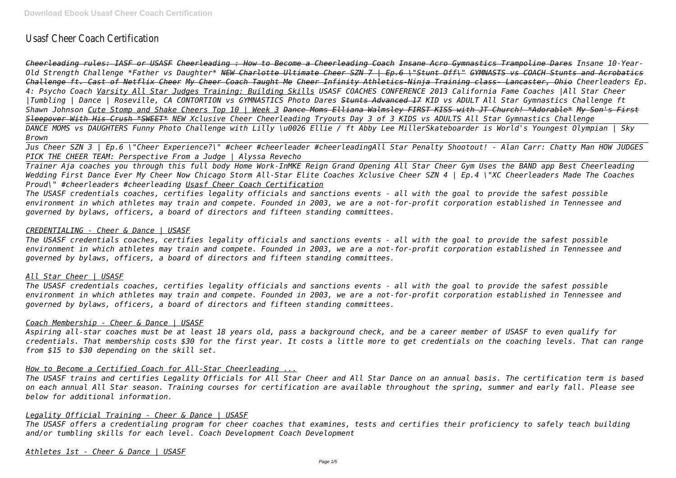# Usasf Cheer Coach Certification

*Cheerleading rules: IASF or USASF Cheerleading : How to Become a Cheerleading Coach Insane Acro Gymnastics Trampoline Dares Insane 10-Year-Old Strength Challenge \*Father vs Daughter\* NEW Charlotte Ultimate Cheer SZN 7 | Ep.6 \"Stunt Off\" GYMNASTS vs COACH Stunts and Acrobatics Challenge ft. Cast of Netflix Cheer My Cheer Coach Taught Me Cheer Infinity Athletics-Ninja Training class- Lancaster, Ohio Cheerleaders Ep. 4: Psycho Coach Varsity All Star Judges Training: Building Skills USASF COACHES CONFERENCE 2013 California Fame Coaches |All Star Cheer |Tumbling | Dance | Roseville, CA CONTORTION vs GYMNASTICS Photo Dares Stunts Advanced 17 KID vs ADULT All Star Gymnastics Challenge ft Shawn Johnson Cute Stomp and Shake Cheers Top 10 | Week 3 Dance Moms Elliana Walmsley FIRST KISS with JT Church! \*Adorable\* My Son's First Sleepover With His Crush \*SWEET\* NEW Xclusive Cheer Cheerleading Tryouts Day 3 of 3 KIDS vs ADULTS All Star Gymnastics Challenge DANCE MOMS vs DAUGHTERS Funny Photo Challenge with Lilly \u0026 Ellie / ft Abby Lee MillerSkateboarder is World's Youngest Olympian | Sky Brown*

*Jus Cheer SZN 3 | Ep.6 \"Cheer Experience?\" #cheer #cheerleader #cheerleadingAll Star Penalty Shootout! - Alan Carr: Chatty Man HOW JUDGES PICK THE CHEER TEAM: Perspective From a Judge | Alyssa Revecho*

*Trainer Aja coaches you through this full body Home Work-InMKE Reign Grand Opening All Star Cheer Gym Uses the BAND app Best Cheerleading Wedding First Dance Ever My Cheer Now Chicago Storm All-Star Elite Coaches Xclusive Cheer SZN 4 | Ep.4 \"XC Cheerleaders Made The Coaches Proud\" #cheerleaders #cheerleading Usasf Cheer Coach Certification*

*The USASF credentials coaches, certifies legality officials and sanctions events - all with the goal to provide the safest possible environment in which athletes may train and compete. Founded in 2003, we are a not-for-profit corporation established in Tennessee and governed by bylaws, officers, a board of directors and fifteen standing committees.*

## *CREDENTIALING - Cheer & Dance | USASF*

*The USASF credentials coaches, certifies legality officials and sanctions events - all with the goal to provide the safest possible environment in which athletes may train and compete. Founded in 2003, we are a not-for-profit corporation established in Tennessee and governed by bylaws, officers, a board of directors and fifteen standing committees.*

# *All Star Cheer | USASF*

*The USASF credentials coaches, certifies legality officials and sanctions events - all with the goal to provide the safest possible environment in which athletes may train and compete. Founded in 2003, we are a not-for-profit corporation established in Tennessee and governed by bylaws, officers, a board of directors and fifteen standing committees.*

#### *Coach Membership - Cheer & Dance | USASF*

*Aspiring all-star coaches must be at least 18 years old, pass a background check, and be a career member of USASF to even qualify for credentials. That membership costs \$30 for the first year. It costs a little more to get credentials on the coaching levels. That can range from \$15 to \$30 depending on the skill set.*

# *How to Become a Certified Coach for All-Star Cheerleading ...*

*The USASF trains and certifies Legality Officials for All Star Cheer and All Star Dance on an annual basis. The certification term is based on each annual All Star season. Training courses for certification are available throughout the spring, summer and early fall. Please see below for additional information.*

# *Legality Official Training - Cheer & Dance | USASF*

*The USASF offers a credentialing program for cheer coaches that examines, tests and certifies their proficiency to safely teach building and/or tumbling skills for each level. Coach Development Coach Development*

*Athletes 1st - Cheer & Dance | USASF*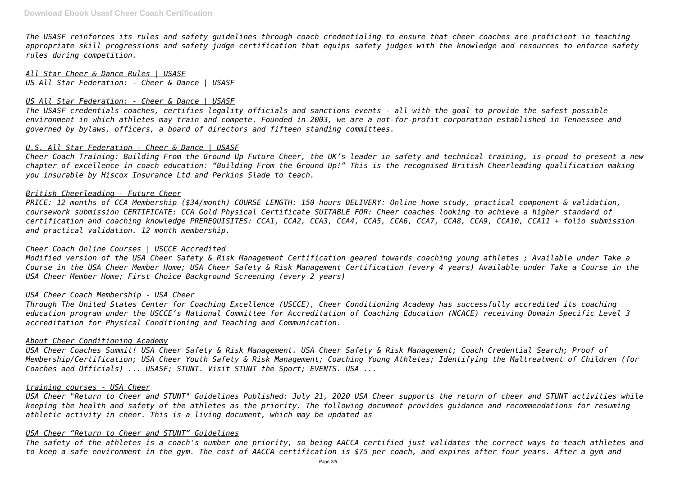*The USASF reinforces its rules and safety guidelines through coach credentialing to ensure that cheer coaches are proficient in teaching appropriate skill progressions and safety judge certification that equips safety judges with the knowledge and resources to enforce safety rules during competition.*

*All Star Cheer & Dance Rules | USASF US All Star Federation: - Cheer & Dance | USASF*

#### *US All Star Federation: - Cheer & Dance | USASF*

*The USASF credentials coaches, certifies legality officials and sanctions events - all with the goal to provide the safest possible environment in which athletes may train and compete. Founded in 2003, we are a not-for-profit corporation established in Tennessee and governed by bylaws, officers, a board of directors and fifteen standing committees.*

#### *U.S. All Star Federation - Cheer & Dance | USASF*

*Cheer Coach Training: Building From the Ground Up Future Cheer, the UK's leader in safety and technical training, is proud to present a new chapter of excellence in coach education: "Building From the Ground Up!" This is the recognised British Cheerleading qualification making you insurable by Hiscox Insurance Ltd and Perkins Slade to teach.*

#### *British Cheerleading - Future Cheer*

*PRICE: 12 months of CCA Membership (\$34/month) COURSE LENGTH: 150 hours DELIVERY: Online home study, practical component & validation, coursework submission CERTIFICATE: CCA Gold Physical Certificate SUITABLE FOR: Cheer coaches looking to achieve a higher standard of certification and coaching knowledge PREREQUISITES: CCA1, CCA2, CCA3, CCA4, CCA5, CCA6, CCA7, CCA8, CCA9, CCA10, CCA11 + folio submission and practical validation. 12 month membership.*

#### *Cheer Coach Online Courses | USCCE Accredited*

*Modified version of the USA Cheer Safety & Risk Management Certification geared towards coaching young athletes ; Available under Take a Course in the USA Cheer Member Home; USA Cheer Safety & Risk Management Certification (every 4 years) Available under Take a Course in the USA Cheer Member Home; First Choice Background Screening (every 2 years)*

#### *USA Cheer Coach Membership - USA Cheer*

*Through The United States Center for Coaching Excellence (USCCE), Cheer Conditioning Academy has successfully accredited its coaching education program under the USCCE's National Committee for Accreditation of Coaching Education (NCACE) receiving Domain Specific Level 3 accreditation for Physical Conditioning and Teaching and Communication.*

#### *About Cheer Conditioning Academy*

*USA Cheer Coaches Summit! USA Cheer Safety & Risk Management. USA Cheer Safety & Risk Management; Coach Credential Search; Proof of Membership/Certification; USA Cheer Youth Safety & Risk Management; Coaching Young Athletes; Identifying the Maltreatment of Children (for Coaches and Officials) ... USASF; STUNT. Visit STUNT the Sport; EVENTS. USA ...*

#### *training courses - USA Cheer*

*USA Cheer "Return to Cheer and STUNT" Guidelines Published: July 21, 2020 USA Cheer supports the return of cheer and STUNT activities while keeping the health and safety of the athletes as the priority. The following document provides guidance and recommendations for resuming athletic activity in cheer. This is a living document, which may be updated as*

#### *USA Cheer "Return to Cheer and STUNT" Guidelines*

*The safety of the athletes is a coach's number one priority, so being AACCA certified just validates the correct ways to teach athletes and to keep a safe environment in the gym. The cost of AACCA certification is \$75 per coach, and expires after four years. After a gym and*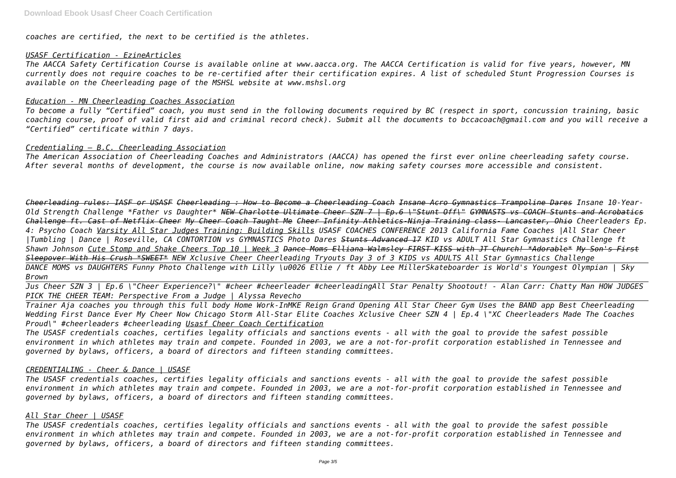*coaches are certified, the next to be certified is the athletes.*

# *USASF Certification - EzineArticles*

*The AACCA Safety Certification Course is available online at www.aacca.org. The AACCA Certification is valid for five years, however, MN currently does not require coaches to be re-certified after their certification expires. A list of scheduled Stunt Progression Courses is available on the Cheerleading page of the MSHSL website at www.mshsl.org*

## *Education - MN Cheerleading Coaches Association*

*To become a fully "Certified" coach, you must send in the following documents required by BC (respect in sport, concussion training, basic coaching course, proof of valid first aid and criminal record check). Submit all the documents to bccacoach@gmail.com and you will receive a "Certified" certificate within 7 days.*

## *Credentialing – B.C. Cheerleading Association*

*The American Association of Cheerleading Coaches and Administrators (AACCA) has opened the first ever online cheerleading safety course. After several months of development, the course is now available online, now making safety courses more accessible and consistent.*

*Cheerleading rules: IASF or USASF Cheerleading : How to Become a Cheerleading Coach Insane Acro Gymnastics Trampoline Dares Insane 10-Year-Old Strength Challenge \*Father vs Daughter\* NEW Charlotte Ultimate Cheer SZN 7 | Ep.6 \"Stunt Off\" GYMNASTS vs COACH Stunts and Acrobatics Challenge ft. Cast of Netflix Cheer My Cheer Coach Taught Me Cheer Infinity Athletics-Ninja Training class- Lancaster, Ohio Cheerleaders Ep. 4: Psycho Coach Varsity All Star Judges Training: Building Skills USASF COACHES CONFERENCE 2013 California Fame Coaches |All Star Cheer |Tumbling | Dance | Roseville, CA CONTORTION vs GYMNASTICS Photo Dares Stunts Advanced 17 KID vs ADULT All Star Gymnastics Challenge ft Shawn Johnson Cute Stomp and Shake Cheers Top 10 | Week 3 Dance Moms Elliana Walmsley FIRST KISS with JT Church! \*Adorable\* My Son's First Sleepover With His Crush \*SWEET\* NEW Xclusive Cheer Cheerleading Tryouts Day 3 of 3 KIDS vs ADULTS All Star Gymnastics Challenge DANCE MOMS vs DAUGHTERS Funny Photo Challenge with Lilly \u0026 Ellie / ft Abby Lee MillerSkateboarder is World's Youngest Olympian | Sky Brown*

*Jus Cheer SZN 3 | Ep.6 \"Cheer Experience?\" #cheer #cheerleader #cheerleadingAll Star Penalty Shootout! - Alan Carr: Chatty Man HOW JUDGES PICK THE CHEER TEAM: Perspective From a Judge | Alyssa Revecho*

*Trainer Aja coaches you through this full body Home Work-InMKE Reign Grand Opening All Star Cheer Gym Uses the BAND app Best Cheerleading Wedding First Dance Ever My Cheer Now Chicago Storm All-Star Elite Coaches Xclusive Cheer SZN 4 | Ep.4 \"XC Cheerleaders Made The Coaches Proud\" #cheerleaders #cheerleading Usasf Cheer Coach Certification*

*The USASF credentials coaches, certifies legality officials and sanctions events - all with the goal to provide the safest possible environment in which athletes may train and compete. Founded in 2003, we are a not-for-profit corporation established in Tennessee and governed by bylaws, officers, a board of directors and fifteen standing committees.*

# *CREDENTIALING - Cheer & Dance | USASF*

*The USASF credentials coaches, certifies legality officials and sanctions events - all with the goal to provide the safest possible environment in which athletes may train and compete. Founded in 2003, we are a not-for-profit corporation established in Tennessee and governed by bylaws, officers, a board of directors and fifteen standing committees.*

#### *All Star Cheer | USASF*

*The USASF credentials coaches, certifies legality officials and sanctions events - all with the goal to provide the safest possible environment in which athletes may train and compete. Founded in 2003, we are a not-for-profit corporation established in Tennessee and governed by bylaws, officers, a board of directors and fifteen standing committees.*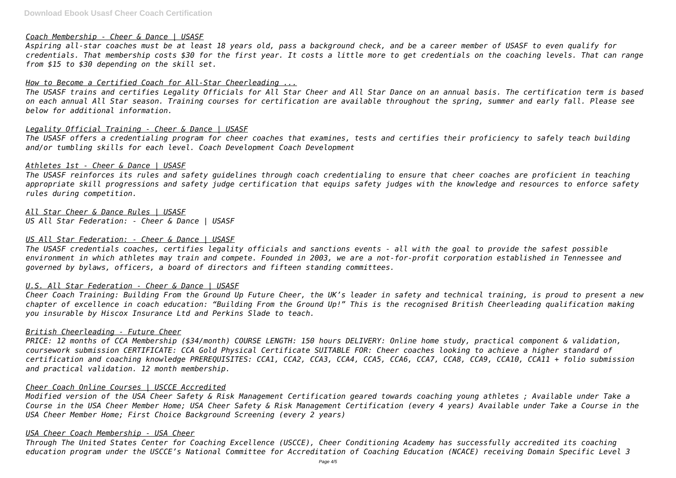## *Coach Membership - Cheer & Dance | USASF*

*Aspiring all-star coaches must be at least 18 years old, pass a background check, and be a career member of USASF to even qualify for credentials. That membership costs \$30 for the first year. It costs a little more to get credentials on the coaching levels. That can range from \$15 to \$30 depending on the skill set.*

## *How to Become a Certified Coach for All-Star Cheerleading ...*

*The USASF trains and certifies Legality Officials for All Star Cheer and All Star Dance on an annual basis. The certification term is based on each annual All Star season. Training courses for certification are available throughout the spring, summer and early fall. Please see below for additional information.*

## *Legality Official Training - Cheer & Dance | USASF*

*The USASF offers a credentialing program for cheer coaches that examines, tests and certifies their proficiency to safely teach building and/or tumbling skills for each level. Coach Development Coach Development*

## *Athletes 1st - Cheer & Dance | USASF*

*The USASF reinforces its rules and safety guidelines through coach credentialing to ensure that cheer coaches are proficient in teaching appropriate skill progressions and safety judge certification that equips safety judges with the knowledge and resources to enforce safety rules during competition.*

*All Star Cheer & Dance Rules | USASF US All Star Federation: - Cheer & Dance | USASF*

# *US All Star Federation: - Cheer & Dance | USASF*

*The USASF credentials coaches, certifies legality officials and sanctions events - all with the goal to provide the safest possible environment in which athletes may train and compete. Founded in 2003, we are a not-for-profit corporation established in Tennessee and governed by bylaws, officers, a board of directors and fifteen standing committees.*

# *U.S. All Star Federation - Cheer & Dance | USASF*

*Cheer Coach Training: Building From the Ground Up Future Cheer, the UK's leader in safety and technical training, is proud to present a new chapter of excellence in coach education: "Building From the Ground Up!" This is the recognised British Cheerleading qualification making you insurable by Hiscox Insurance Ltd and Perkins Slade to teach.*

#### *British Cheerleading - Future Cheer*

*PRICE: 12 months of CCA Membership (\$34/month) COURSE LENGTH: 150 hours DELIVERY: Online home study, practical component & validation, coursework submission CERTIFICATE: CCA Gold Physical Certificate SUITABLE FOR: Cheer coaches looking to achieve a higher standard of certification and coaching knowledge PREREQUISITES: CCA1, CCA2, CCA3, CCA4, CCA5, CCA6, CCA7, CCA8, CCA9, CCA10, CCA11 + folio submission and practical validation. 12 month membership.*

# *Cheer Coach Online Courses | USCCE Accredited*

*Modified version of the USA Cheer Safety & Risk Management Certification geared towards coaching young athletes ; Available under Take a Course in the USA Cheer Member Home; USA Cheer Safety & Risk Management Certification (every 4 years) Available under Take a Course in the USA Cheer Member Home; First Choice Background Screening (every 2 years)*

#### *USA Cheer Coach Membership - USA Cheer*

*Through The United States Center for Coaching Excellence (USCCE), Cheer Conditioning Academy has successfully accredited its coaching education program under the USCCE's National Committee for Accreditation of Coaching Education (NCACE) receiving Domain Specific Level 3*